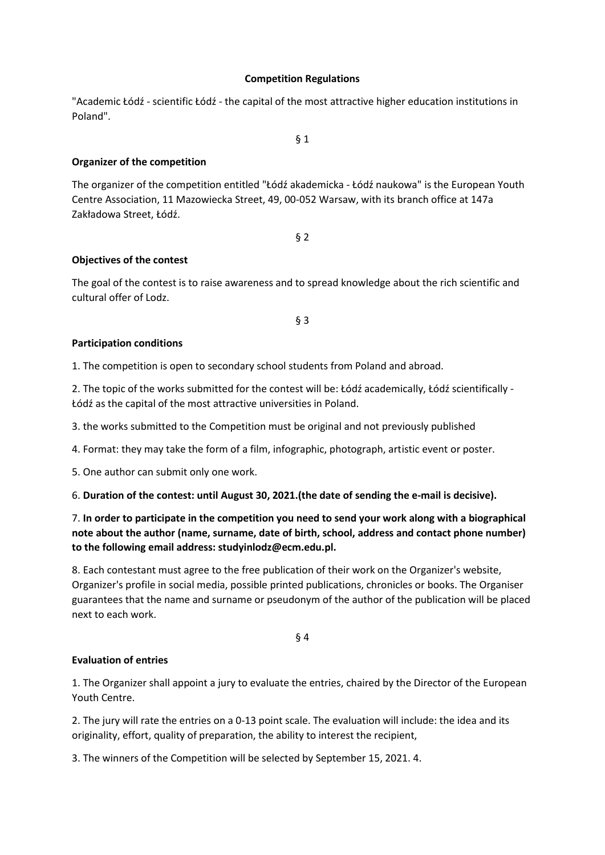## **Competition Regulations**

"Academic Łódź - scientific Łódź - the capital of the most attractive higher education institutions in Poland".

§ 1

**Organizer of the competition**

The organizer of the competition entitled "Łódź akademicka - Łódź naukowa" is the European Youth Centre Association, 11 Mazowiecka Street, 49, 00-052 Warsaw, with its branch office at 147a Zakładowa Street, Łódź.

§ 2

## **Objectives of the contest**

The goal of the contest is to raise awareness and to spread knowledge about the rich scientific and cultural offer of Lodz.

§ 3

## **Participation conditions**

1. The competition is open to secondary school students from Poland and abroad.

2. The topic of the works submitted for the contest will be: Łódź academically, Łódź scientifically - Łódź as the capital of the most attractive universities in Poland.

3. the works submitted to the Competition must be original and not previously published

4. Format: they may take the form of a film, infographic, photograph, artistic event or poster.

5. One author can submit only one work.

6. **Duration of the contest: until August 30, 2021.(the date of sending the e-mail is decisive).**

# 7. **In order to participate in the competition you need to send your work along with a biographical note about the author (name, surname, date of birth, school, address and contact phone number) to the following email address: studyinlodz@ecm.edu.pl.**

8. Each contestant must agree to the free publication of their work on the Organizer's website, Organizer's profile in social media, possible printed publications, chronicles or books. The Organiser guarantees that the name and surname or pseudonym of the author of the publication will be placed next to each work.

§ 4

## **Evaluation of entries**

1. The Organizer shall appoint a jury to evaluate the entries, chaired by the Director of the European Youth Centre.

2. The jury will rate the entries on a 0-13 point scale. The evaluation will include: the idea and its originality, effort, quality of preparation, the ability to interest the recipient,

3. The winners of the Competition will be selected by September 15, 2021. 4.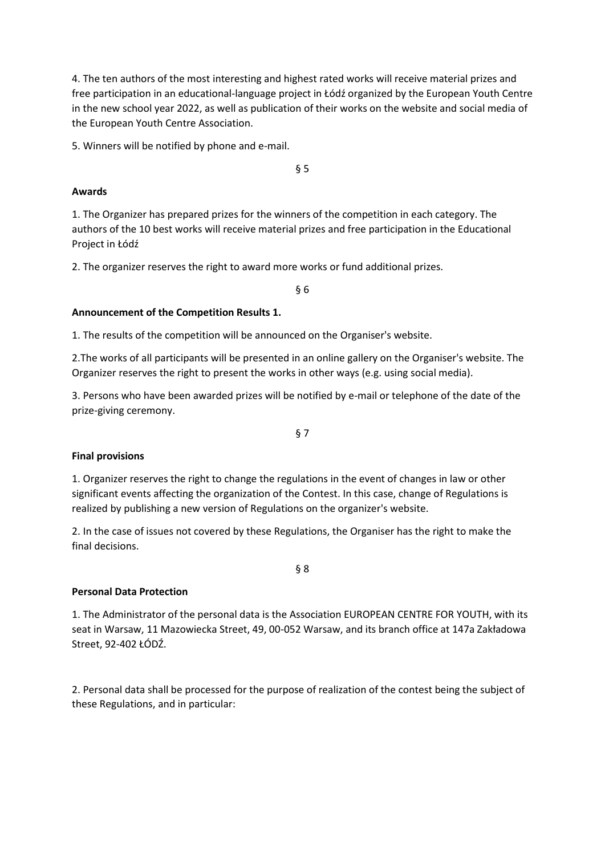4. The ten authors of the most interesting and highest rated works will receive material prizes and free participation in an educational-language project in Łódź organized by the European Youth Centre in the new school year 2022, as well as publication of their works on the website and social media of the European Youth Centre Association.

5. Winners will be notified by phone and e-mail.

§ 5

#### **Awards**

1. The Organizer has prepared prizes for the winners of the competition in each category. The authors of the 10 best works will receive material prizes and free participation in the Educational Project in Łódź

2. The organizer reserves the right to award more works or fund additional prizes.

§ 6

## **Announcement of the Competition Results 1.**

1. The results of the competition will be announced on the Organiser's website.

2.The works of all participants will be presented in an online gallery on the Organiser's website. The Organizer reserves the right to present the works in other ways (e.g. using social media).

3. Persons who have been awarded prizes will be notified by e-mail or telephone of the date of the prize-giving ceremony.

§ 7

## **Final provisions**

1. Organizer reserves the right to change the regulations in the event of changes in law or other significant events affecting the organization of the Contest. In this case, change of Regulations is realized by publishing a new version of Regulations on the organizer's website.

2. In the case of issues not covered by these Regulations, the Organiser has the right to make the final decisions.

## **Personal Data Protection**

1. The Administrator of the personal data is the Association EUROPEAN CENTRE FOR YOUTH, with its seat in Warsaw, 11 Mazowiecka Street, 49, 00-052 Warsaw, and its branch office at 147a Zakładowa Street, 92-402 ŁÓDŹ.

§ 8

2. Personal data shall be processed for the purpose of realization of the contest being the subject of these Regulations, and in particular: